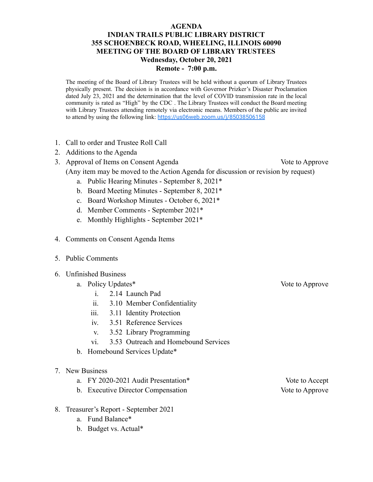## **AGENDA INDIAN TRAILS PUBLIC LIBRARY DISTRICT 355 SCHOENBECK ROAD, WHEELING, ILLINOIS 60090 MEETING OF THE BOARD OF LIBRARY TRUSTEES Wednesday, October 20, 2021 Remote - 7:00 p.m.**

The meeting of the Board of Library Trustees will be held without a quorum of Library Trustees physically present. The decision is in accordance with Governor Prizker's Disaster Proclamation dated July 23, 2021 and the determination that the level of COVID transmission rate in the local community is rated as "High" by the CDC . The Library Trustees will conduct the Board meeting with Library Trustees attending remotely via electronic means. Members of the public are invited to attend by using the following link: <https://us06web.zoom.us/j/85038506158>

- 1. Call to order and Trustee Roll Call
- 2. Additions to the Agenda
- 3. Approval of Items on Consent Agenda Vote to Approve
	- (Any item may be moved to the Action Agenda for discussion or revision by request)
		- a. Public Hearing Minutes September 8, 2021\*
		- b. Board Meeting Minutes September 8, 2021\*
		- c. Board Workshop Minutes October 6, 2021\*
		- d. Member Comments September 2021\*
		- e. Monthly Highlights September 2021\*
- 4. Comments on Consent Agenda Items
- 5. Public Comments
- 6. Unfinished Business
	- a. Policy Updates\* Vote to Approve
		- i. 2.14 Launch Pad
		- ii. 3.10 Member Confidentiality
		- iii. 3.11 Identity Protection
		- iv. 3.51 Reference Services
		- v. 3.52 Library Programming
		- vi. 3.53 Outreach and Homebound Services
	- b. Homebound Services Update\*
- 7. New Business
	- a. FY 2020-2021 Audit Presentation\* Vote to Accept
	- b. Executive Director Compensation Vote to Approve
- 8. Treasurer's Report September 2021
	- a. Fund Balance\*
	- b. Budget vs. Actual\*